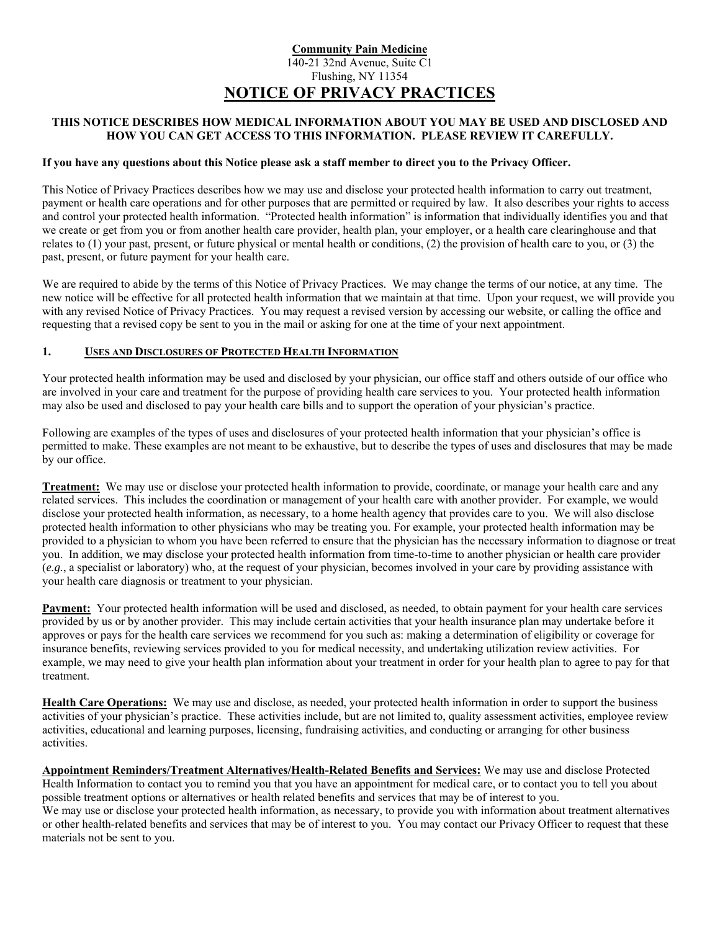## **Community Pain Medicine**  140-21 32nd Avenue, Suite C1 Flushing, NY 11354 **NOTICE OF PRIVACY PRACTICES**

## **THIS NOTICE DESCRIBES HOW MEDICAL INFORMATION ABOUT YOU MAY BE USED AND DISCLOSED AND HOW YOU CAN GET ACCESS TO THIS INFORMATION. PLEASE REVIEW IT CAREFULLY.**

#### **If you have any questions about this Notice please ask a staff member to direct you to the Privacy Officer.**

This Notice of Privacy Practices describes how we may use and disclose your protected health information to carry out treatment, payment or health care operations and for other purposes that are permitted or required by law. It also describes your rights to access and control your protected health information. "Protected health information" is information that individually identifies you and that we create or get from you or from another health care provider, health plan, your employer, or a health care clearinghouse and that relates to  $(1)$  your past, present, or future physical or mental health or conditions,  $(2)$  the provision of health care to you, or  $(3)$  the past, present, or future payment for your health care.

We are required to abide by the terms of this Notice of Privacy Practices. We may change the terms of our notice, at any time. The new notice will be effective for all protected health information that we maintain at that time. Upon your request, we will provide you with any revised Notice of Privacy Practices. You may request a revised version by accessing our website, or calling the office and requesting that a revised copy be sent to you in the mail or asking for one at the time of your next appointment.

#### **1. USES AND DISCLOSURES OF PROTECTED HEALTH INFORMATION**

Your protected health information may be used and disclosed by your physician, our office staff and others outside of our office who are involved in your care and treatment for the purpose of providing health care services to you. Your protected health information may also be used and disclosed to pay your health care bills and to support the operation of your physician's practice.

Following are examples of the types of uses and disclosures of your protected health information that your physician's office is permitted to make. These examples are not meant to be exhaustive, but to describe the types of uses and disclosures that may be made by our office.

**Treatment:** We may use or disclose your protected health information to provide, coordinate, or manage your health care and any related services. This includes the coordination or management of your health care with another provider. For example, we would disclose your protected health information, as necessary, to a home health agency that provides care to you. We will also disclose protected health information to other physicians who may be treating you. For example, your protected health information may be provided to a physician to whom you have been referred to ensure that the physician has the necessary information to diagnose or treat you. In addition, we may disclose your protected health information from time-to-time to another physician or health care provider (*e.g.*, a specialist or laboratory) who, at the request of your physician, becomes involved in your care by providing assistance with your health care diagnosis or treatment to your physician.

**Payment:** Your protected health information will be used and disclosed, as needed, to obtain payment for your health care services provided by us or by another provider. This may include certain activities that your health insurance plan may undertake before it approves or pays for the health care services we recommend for you such as: making a determination of eligibility or coverage for insurance benefits, reviewing services provided to you for medical necessity, and undertaking utilization review activities. For example, we may need to give your health plan information about your treatment in order for your health plan to agree to pay for that treatment.

**Health Care Operations:** We may use and disclose, as needed, your protected health information in order to support the business activities of your physician's practice. These activities include, but are not limited to, quality assessment activities, employee review activities, educational and learning purposes, licensing, fundraising activities, and conducting or arranging for other business activities.

**Appointment Reminders/Treatment Alternatives/Health-Related Benefits and Services:** We may use and disclose Protected Health Information to contact you to remind you that you have an appointment for medical care, or to contact you to tell you about possible treatment options or alternatives or health related benefits and services that may be of interest to you. We may use or disclose your protected health information, as necessary, to provide you with information about treatment alternatives or other health-related benefits and services that may be of interest to you. You may contact our Privacy Officer to request that these materials not be sent to you.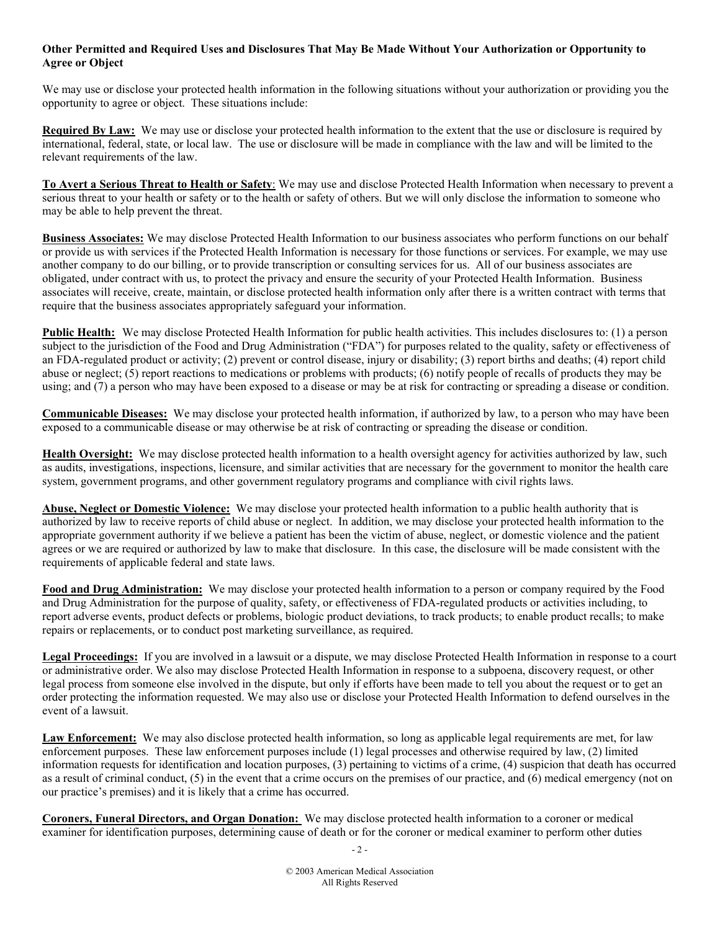## **Other Permitted and Required Uses and Disclosures That May Be Made Without Your Authorization or Opportunity to Agree or Object**

We may use or disclose your protected health information in the following situations without your authorization or providing you the opportunity to agree or object. These situations include:

**Required By Law:** We may use or disclose your protected health information to the extent that the use or disclosure is required by international, federal, state, or local law. The use or disclosure will be made in compliance with the law and will be limited to the relevant requirements of the law.

**To Avert a Serious Threat to Health or Safety**: We may use and disclose Protected Health Information when necessary to prevent a serious threat to your health or safety or to the health or safety of others. But we will only disclose the information to someone who may be able to help prevent the threat.

**Business Associates:** We may disclose Protected Health Information to our business associates who perform functions on our behalf or provide us with services if the Protected Health Information is necessary for those functions or services. For example, we may use another company to do our billing, or to provide transcription or consulting services for us. All of our business associates are obligated, under contract with us, to protect the privacy and ensure the security of your Protected Health Information. Business associates will receive, create, maintain, or disclose protected health information only after there is a written contract with terms that require that the business associates appropriately safeguard your information.

**Public Health:** We may disclose Protected Health Information for public health activities. This includes disclosures to: (1) a person subject to the jurisdiction of the Food and Drug Administration ("FDA") for purposes related to the quality, safety or effectiveness of an FDA-regulated product or activity; (2) prevent or control disease, injury or disability; (3) report births and deaths; (4) report child abuse or neglect; (5) report reactions to medications or problems with products; (6) notify people of recalls of products they may be using; and (7) a person who may have been exposed to a disease or may be at risk for contracting or spreading a disease or condition.

**Communicable Diseases:** We may disclose your protected health information, if authorized by law, to a person who may have been exposed to a communicable disease or may otherwise be at risk of contracting or spreading the disease or condition.

**Health Oversight:** We may disclose protected health information to a health oversight agency for activities authorized by law, such as audits, investigations, inspections, licensure, and similar activities that are necessary for the government to monitor the health care system, government programs, and other government regulatory programs and compliance with civil rights laws.

**Abuse, Neglect or Domestic Violence:** We may disclose your protected health information to a public health authority that is authorized by law to receive reports of child abuse or neglect. In addition, we may disclose your protected health information to the appropriate government authority if we believe a patient has been the victim of abuse, neglect, or domestic violence and the patient agrees or we are required or authorized by law to make that disclosure. In this case, the disclosure will be made consistent with the requirements of applicable federal and state laws.

**Food and Drug Administration:** We may disclose your protected health information to a person or company required by the Food and Drug Administration for the purpose of quality, safety, or effectiveness of FDA-regulated products or activities including, to report adverse events, product defects or problems, biologic product deviations, to track products; to enable product recalls; to make repairs or replacements, or to conduct post marketing surveillance, as required.

Legal Proceedings: If you are involved in a lawsuit or a dispute, we may disclose Protected Health Information in response to a court or administrative order. We also may disclose Protected Health Information in response to a subpoena, discovery request, or other legal process from someone else involved in the dispute, but only if efforts have been made to tell you about the request or to get an order protecting the information requested. We may also use or disclose your Protected Health Information to defend ourselves in the event of a lawsuit.

Law Enforcement: We may also disclose protected health information, so long as applicable legal requirements are met, for law enforcement purposes. These law enforcement purposes include (1) legal processes and otherwise required by law, (2) limited information requests for identification and location purposes, (3) pertaining to victims of a crime, (4) suspicion that death has occurred as a result of criminal conduct, (5) in the event that a crime occurs on the premises of our practice, and (6) medical emergency (not on our practice's premises) and it is likely that a crime has occurred.

**Coroners, Funeral Directors, and Organ Donation:** We may disclose protected health information to a coroner or medical examiner for identification purposes, determining cause of death or for the coroner or medical examiner to perform other duties

 $-2-$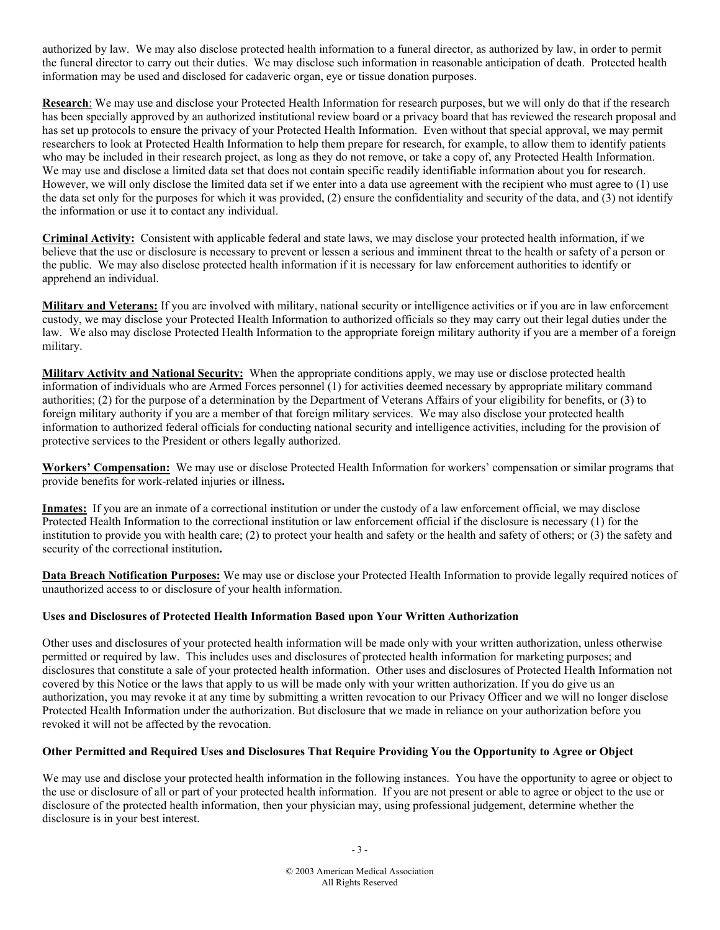authorized by law. We may also disclose protected health information to a funeral director, as authorized by law, in order to permit the funeral director to carry out their duties. We may disclose such information in reasonable anticipation of death. Protected health information may be used and disclosed for cadaveric organ, eye or tissue donation purposes.

**Research**: We may use and disclose your Protected Health Information for research purposes, but we will only do that if the research has been specially approved by an authorized institutional review board or a privacy board that has reviewed the research proposal and has set up protocols to ensure the privacy of your Protected Health Information. Even without that special approval, we may permit researchers to look at Protected Health Information to help them prepare for research, for example, to allow them to identify patients who may be included in their research project, as long as they do not remove, or take a copy of, any Protected Health Information. We may use and disclose a limited data set that does not contain specific readily identifiable information about you for research. However, we will only disclose the limited data set if we enter into a data use agreement with the recipient who must agree to (1) use the data set only for the purposes for which it was provided, (2) ensure the confidentiality and security of the data, and (3) not identify the information or use it to contact any individual.

**Criminal Activity:** Consistent with applicable federal and state laws, we may disclose your protected health information, if we believe that the use or disclosure is necessary to prevent or lessen a serious and imminent threat to the health or safety of a person or the public. We may also disclose protected health information if it is necessary for law enforcement authorities to identify or apprehend an individual.

**Military and Veterans:** If you are involved with military, national security or intelligence activities or if you are in law enforcement custody, we may disclose your Protected Health Information to authorized officials so they may carry out their legal duties under the law. We also may disclose Protected Health Information to the appropriate foreign military authority if you are a member of a foreign military.

**Military Activity and National Security:** When the appropriate conditions apply, we may use or disclose protected health information of individuals who are Armed Forces personnel (1) for activities deemed necessary by appropriate military command authorities; (2) for the purpose of a determination by the Department of Veterans Affairs of your eligibility for benefits, or (3) to foreign military authority if you are a member of that foreign military services. We may also disclose your protected health information to authorized federal officials for conducting national security and intelligence activities, including for the provision of protective services to the President or others legally authorized.

**Workers' Compensation:** We may use or disclose Protected Health Information for workers' compensation or similar programs that provide benefits for work-related injuries or illness**.** 

**Inmates:** If you are an inmate of a correctional institution or under the custody of a law enforcement official, we may disclose Protected Health Information to the correctional institution or law enforcement official if the disclosure is necessary (1) for the institution to provide you with health care; (2) to protect your health and safety or the health and safety of others; or (3) the safety and security of the correctional institution**.** 

**Data Breach Notification Purposes:** We may use or disclose your Protected Health Information to provide legally required notices of unauthorized access to or disclosure of your health information.

#### **Uses and Disclosures of Protected Health Information Based upon Your Written Authorization**

Other uses and disclosures of your protected health information will be made only with your written authorization, unless otherwise permitted or required by law. This includes uses and disclosures of protected health information for marketing purposes; and disclosures that constitute a sale of your protected health information. Other uses and disclosures of Protected Health Information not covered by this Notice or the laws that apply to us will be made only with your written authorization. If you do give us an authorization, you may revoke it at any time by submitting a written revocation to our Privacy Officer and we will no longer disclose Protected Health Information under the authorization. But disclosure that we made in reliance on your authorization before you revoked it will not be affected by the revocation.

#### **Other Permitted and Required Uses and Disclosures That Require Providing You the Opportunity to Agree or Object**

We may use and disclose your protected health information in the following instances. You have the opportunity to agree or object to the use or disclosure of all or part of your protected health information. If you are not present or able to agree or object to the use or disclosure of the protected health information, then your physician may, using professional judgement, determine whether the disclosure is in your best interest.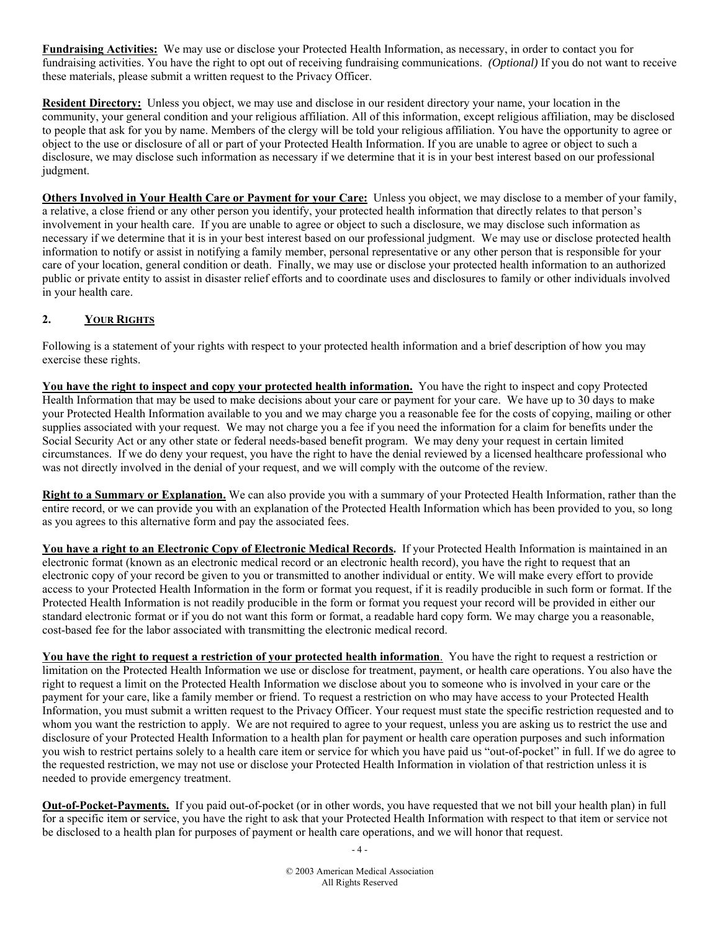**Fundraising Activities:** We may use or disclose your Protected Health Information, as necessary, in order to contact you for fundraising activities. You have the right to opt out of receiving fundraising communications. *(Optional)* If you do not want to receive these materials, please submit a written request to the Privacy Officer.

**Resident Directory:** Unless you object, we may use and disclose in our resident directory your name, your location in the community, your general condition and your religious affiliation. All of this information, except religious affiliation, may be disclosed to people that ask for you by name. Members of the clergy will be told your religious affiliation. You have the opportunity to agree or object to the use or disclosure of all or part of your Protected Health Information. If you are unable to agree or object to such a disclosure, we may disclose such information as necessary if we determine that it is in your best interest based on our professional judgment.

**Others Involved in Your Health Care or Payment for your Care:** Unless you object, we may disclose to a member of your family, a relative, a close friend or any other person you identify, your protected health information that directly relates to that person's involvement in your health care. If you are unable to agree or object to such a disclosure, we may disclose such information as necessary if we determine that it is in your best interest based on our professional judgment. We may use or disclose protected health information to notify or assist in notifying a family member, personal representative or any other person that is responsible for your care of your location, general condition or death. Finally, we may use or disclose your protected health information to an authorized public or private entity to assist in disaster relief efforts and to coordinate uses and disclosures to family or other individuals involved in your health care.

# **2. YOUR RIGHTS**

Following is a statement of your rights with respect to your protected health information and a brief description of how you may exercise these rights.

**You have the right to inspect and copy your protected health information.** You have the right to inspect and copy Protected Health Information that may be used to make decisions about your care or payment for your care. We have up to 30 days to make your Protected Health Information available to you and we may charge you a reasonable fee for the costs of copying, mailing or other supplies associated with your request. We may not charge you a fee if you need the information for a claim for benefits under the Social Security Act or any other state or federal needs-based benefit program. We may deny your request in certain limited circumstances. If we do deny your request, you have the right to have the denial reviewed by a licensed healthcare professional who was not directly involved in the denial of your request, and we will comply with the outcome of the review.

**Right to a Summary or Explanation.** We can also provide you with a summary of your Protected Health Information, rather than the entire record, or we can provide you with an explanation of the Protected Health Information which has been provided to you, so long as you agrees to this alternative form and pay the associated fees.

**You have a right to an Electronic Copy of Electronic Medical Records.** If your Protected Health Information is maintained in an electronic format (known as an electronic medical record or an electronic health record), you have the right to request that an electronic copy of your record be given to you or transmitted to another individual or entity. We will make every effort to provide access to your Protected Health Information in the form or format you request, if it is readily producible in such form or format. If the Protected Health Information is not readily producible in the form or format you request your record will be provided in either our standard electronic format or if you do not want this form or format, a readable hard copy form*.* We may charge you a reasonable, cost-based fee for the labor associated with transmitting the electronic medical record.

**You have the right to request a restriction of your protected health information**. You have the right to request a restriction or limitation on the Protected Health Information we use or disclose for treatment, payment, or health care operations. You also have the right to request a limit on the Protected Health Information we disclose about you to someone who is involved in your care or the payment for your care, like a family member or friend. To request a restriction on who may have access to your Protected Health Information, you must submit a written request to the Privacy Officer. Your request must state the specific restriction requested and to whom you want the restriction to apply. We are not required to agree to your request, unless you are asking us to restrict the use and disclosure of your Protected Health Information to a health plan for payment or health care operation purposes and such information you wish to restrict pertains solely to a health care item or service for which you have paid us "out-of-pocket" in full. If we do agree to the requested restriction, we may not use or disclose your Protected Health Information in violation of that restriction unless it is needed to provide emergency treatment.

**Out-of-Pocket-Payments.** If you paid out-of-pocket (or in other words, you have requested that we not bill your health plan) in full for a specific item or service, you have the right to ask that your Protected Health Information with respect to that item or service not be disclosed to a health plan for purposes of payment or health care operations, and we will honor that request.

 $-4-$